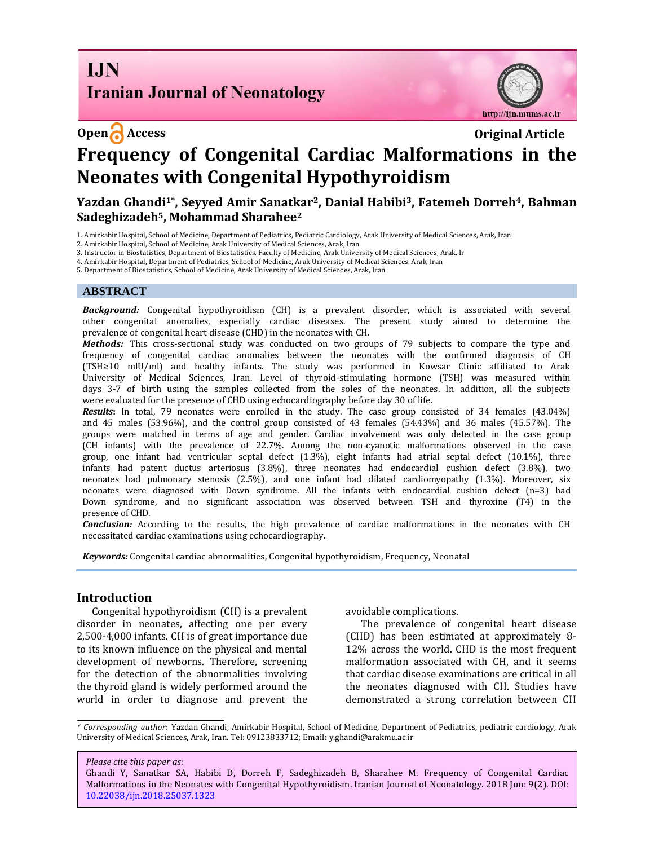**I.IN Iranian Journal of Neonatology** 

**Open Access Original Article** 



# **Frequency of Congenital Cardiac Malformations in the Neonates with Congenital Hypothyroidism**

# **Yazdan Ghandi1\* , Seyyed Amir Sanatkar2, Danial Habibi3, Fatemeh Dorreh4, Bahman Sadeghizadeh5, Mohammad Sharahee<sup>2</sup>**

1. Amirkabir Hospital, School of Medicine, Department of Pediatrics, Pediatric Cardiology, Arak University of Medical Sciences, Arak, Iran

2. Amirkabir Hospital, School of Medicine, Arak University of Medical Sciences, Arak, Iran

3. Instructor in Biostatistics, Department of Biostatistics, Faculty of Medicine, Arak University of Medical Sciences, Arak, Ir

4. Amirkabir Hospital, Department of Pediatrics, School of Medicine, Arak University of Medical Sciences, Arak, Iran

5. Department of Biostatistics, School of Medicine, Arak University of Medical Sciences, Arak, Iran

#### **ABSTRACT**

*Background:* Congenital hypothyroidism (CH) is a prevalent disorder, which is associated with several other congenital anomalies, especially cardiac diseases. The present study aimed to determine the prevalence of congenital heart disease (CHD) in the neonates with CH.

*Methods:* This cross-sectional study was conducted on two groups of 79 subjects to compare the type and frequency of congenital cardiac anomalies between the neonates with the confirmed diagnosis of CH (TSH≥10 mlU/ml) and healthy infants. The study was performed in Kowsar Clinic affiliated to Arak University of Medical Sciences, Iran. Level of thyroid-stimulating hormone (TSH) was measured within days 3-7 of birth using the samples collected from the soles of the neonates. In addition, all the subjects were evaluated for the presence of CHD using echocardiography before day 30 of life.

*Results***:** In total, 79 neonates were enrolled in the study. The case group consisted of 34 females (43.04%) and 45 males (53.96%), and the control group consisted of 43 females (54.43%) and 36 males (45.57%). The groups were matched in terms of age and gender. Cardiac involvement was only detected in the case group (CH infants) with the prevalence of 22.7%. Among the non-cyanotic malformations observed in the case group, one infant had ventricular septal defect (1.3%), eight infants had atrial septal defect (10.1%), three infants had patent ductus arteriosus (3.8%), three neonates had endocardial cushion defect (3.8%), two neonates had pulmonary stenosis (2.5%), and one infant had dilated cardiomyopathy (1.3%). Moreover, six neonates were diagnosed with Down syndrome. All the infants with endocardial cushion defect (n=3) had Down syndrome, and no significant association was observed between TSH and thyroxine (T4) in the presence of CHD.

*Conclusion:* According to the results, the high prevalence of cardiac malformations in the neonates with CH necessitated cardiac examinations using echocardiography.

*Keywords:* Congenital cardiac abnormalities, Congenital hypothyroidism[, Frequency, Neonatal](https://www.ncbi.nlm.nih.gov/mesh/68007236) 

#### **Introduction**

Congenital hypothyroidism (CH) is a prevalent disorder in neonates, affecting one per every 2,500-4,000 infants. CH is of great importance due to its known influence on the physical and mental development of newborns. Therefore, screening for the detection of the abnormalities involving the thyroid gland is widely performed around the world in order to diagnose and prevent the avoidable complications.

The prevalence of congenital heart disease (CHD) has been estimated at approximately 8- 12% across the world. CHD is the most frequent malformation associated with CH, and it seems that cardiac disease examinations are critical in all the neonates diagnosed with CH. Studies have demonstrated a strong correlation between CH

*\* Corresponding author*: Yazdan Ghandi, Amirkabir Hospital, School of Medicine, Department of Pediatrics, pediatric cardiology, Arak University of Medical Sciences, Arak, Iran. Tel: 09123833712; Email**:** [y.ghandi@arakmu.ac.ir](mailto:Y.ghandi@arakmu.ac.ir)

*Please cite this paper as:*

Ghandi Y, Sanatkar SA, Habibi D, Dorreh F, Sadeghizadeh B, Sharahee M. Frequency of Congenital Cardiac Malformations in the Neonates with Congenital Hypothyroidism. Iranian Journal of Neonatology. 2018 Jun: 9(2). DOI: [10.22038/ijn.2018.25037.1323](http://ijn.mums.ac.ir/)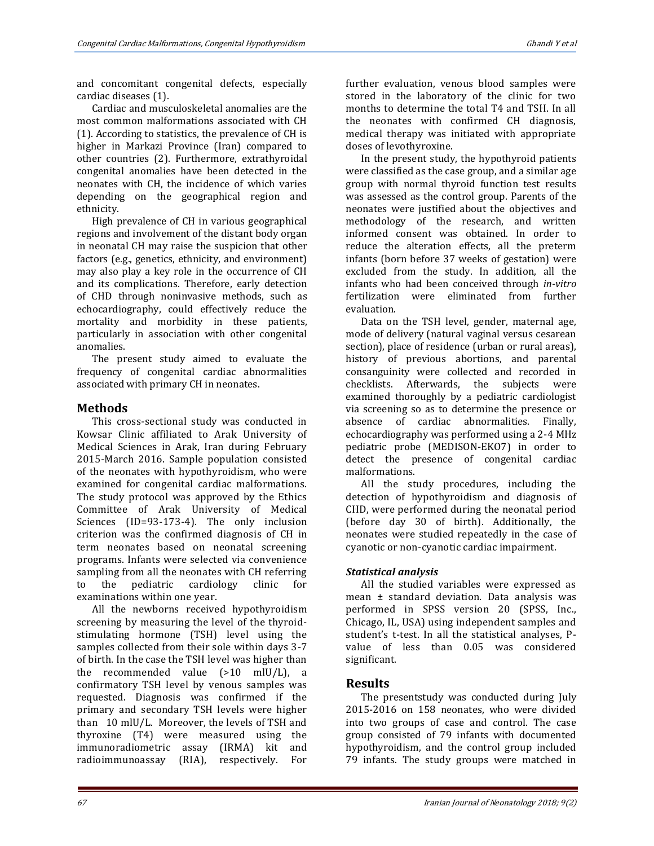and concomitant congenital defects, especially cardiac diseases (1).

Cardiac and musculoskeletal anomalies are the most common malformations associated with CH (1). According to statistics, the prevalence of CH is higher in Markazi Province (Iran) compared to other countries (2). Furthermore, extrathyroidal congenital anomalies have been detected in the neonates with CH, the incidence of which varies depending on the geographical region and ethnicity.

High prevalence of CH in various geographical regions and involvement of the distant body organ in neonatal CH may raise the suspicion that other factors (e.g., genetics, ethnicity, and environment) may also play a key role in the occurrence of CH and its complications. Therefore, early detection of CHD through noninvasive methods, such as echocardiography, could effectively reduce the mortality and morbidity in these patients, particularly in association with other congenital anomalies.

The present study aimed to evaluate the frequency of congenital cardiac abnormalities associated with primary CH in neonates.

## **Methods**

This cross-sectional study was conducted in Kowsar Clinic affiliated to Arak University of Medical Sciences in Arak, Iran during February 2015-March 2016. Sample population consisted of the neonates with hypothyroidism, who were examined for congenital cardiac malformations. The study protocol was approved by the Ethics Committee of Arak University of Medical Sciences (ID=93-173-4). The only inclusion criterion was the confirmed diagnosis of CH in term neonates based on neonatal screening programs. Infants were selected via convenience sampling from all the neonates with CH referring to the pediatric cardiology clinic for examinations within one year.

All the newborns received hypothyroidism screening by measuring the level of the thyroidstimulating hormone (TSH) level using the samples collected from their sole within days 3-7 of birth. In the case the TSH level was higher than the recommended value (>10 mlU/L), a confirmatory TSH level by venous samples was requested. Diagnosis was confirmed if the primary and secondary TSH levels were higher than 10 mlU/L. Moreover, the levels of TSH and thyroxine (T4) were measured using the immunoradiometric assay (IRMA) kit and radioimmunoassay (RIA), respectively. For

further evaluation, venous blood samples were stored in the laboratory of the clinic for two months to determine the total T4 and TSH. In all the neonates with confirmed CH diagnosis, medical therapy was initiated with appropriate doses of levothyroxine.

In the present study, the hypothyroid patients were classified as the case group, and a similar age group with normal thyroid function test results was assessed as the control group. Parents of the neonates were justified about the objectives and methodology of the research, and written informed consent was obtained. In order to reduce the alteration effects, all the preterm infants (born before 37 weeks of gestation) were excluded from the study. In addition, all the infants who had been conceived through *in-vitro* fertilization were eliminated from further evaluation.

Data on the TSH level, gender, maternal age, mode of delivery (natural vaginal versus cesarean section), place of residence (urban or rural areas), history of previous abortions, and parental consanguinity were collected and recorded in checklists. Afterwards, the subjects were examined thoroughly by a pediatric cardiologist via screening so as to determine the presence or absence of cardiac abnormalities. Finally, echocardiography was performed using a 2-4 MHz pediatric probe (MEDISON-EKO7) in order to detect the presence of congenital cardiac malformations.

All the study procedures, including the detection of hypothyroidism and diagnosis of CHD, were performed during the neonatal period (before day 30 of birth). Additionally, the neonates were studied repeatedly in the case of cyanotic or non-cyanotic cardiac impairment.

## *Statistical analysis*

All the studied variables were expressed as mean ± standard deviation. Data analysis was performed in SPSS version 20 (SPSS, Inc., Chicago, IL, USA) using independent samples and student's t-test. In all the statistical analyses, Pvalue of less than 0.05 was considered significant.

## **Results**

The presentstudy was conducted during July 2015-2016 on 158 neonates, who were divided into two groups of case and control. The case group consisted of 79 infants with documented hypothyroidism, and the control group included 79 infants. The study groups were matched in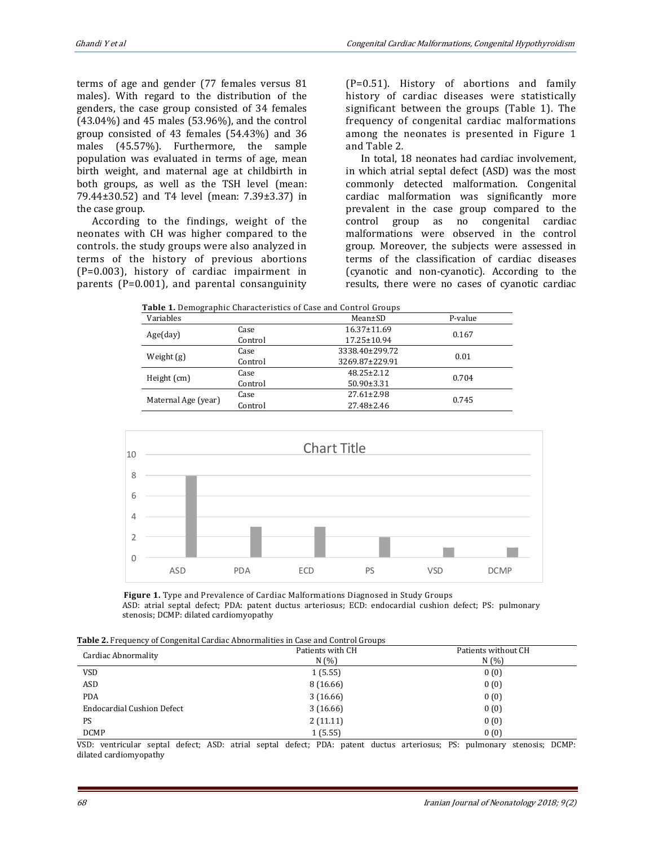terms of age and gender (77 females versus 81 males). With regard to the distribution of the genders, the case group consisted of 34 females (43.04%) and 45 males (53.96%), and the control group consisted of 43 females (54.43%) and 36 males (45.57%). Furthermore, the sample population was evaluated in terms of age, mean birth weight, and maternal age at childbirth in both groups, as well as the TSH level (mean: 79.44±30.52) and T4 level (mean: 7.39±3.37) in the case group.

According to the findings, weight of the neonates with CH was higher compared to the controls. the study groups were also analyzed in terms of the history of previous abortions (P=0.003), history of cardiac impairment in parents (P=0.001), and parental consanguinity (P=0.51). History of abortions and family history of cardiac diseases were statistically significant between the groups (Table 1). The frequency of congenital cardiac malformations among the neonates is presented in Figure 1 and Table 2*.* 

In total, 18 neonates had cardiac involvement, in which atrial septal defect (ASD) was the most commonly detected malformation. Congenital cardiac malformation was significantly more prevalent in the case group compared to the control group as no congenital cardiac malformations were observed in the control group. Moreover, the subjects were assessed in terms of the classification of cardiac diseases (cyanotic and non-cyanotic). According to the results, there were no cases of cyanotic cardiac

| <b>Table 1.</b> Demographic Characteristics of Case and Control Groups |         |                   |         |  |  |
|------------------------------------------------------------------------|---------|-------------------|---------|--|--|
| Variables                                                              |         | Mean±SD           | P-value |  |  |
| Age/day)                                                               | Case    | 16.37±11.69       | 0.167   |  |  |
|                                                                        | Control | $17.25 \pm 10.94$ |         |  |  |
| Weight (g)                                                             | Case    | 3338.40±299.72    | 0.01    |  |  |
|                                                                        | Control | 3269.87±229.91    |         |  |  |
| Height $(cm)$                                                          | Case    | $48.25 \pm 2.12$  | 0.704   |  |  |
|                                                                        | Control | $50.90 \pm 3.31$  |         |  |  |
| Maternal Age (year)                                                    | Case    | $27.61 \pm 2.98$  | 0.745   |  |  |
|                                                                        | Control | $27.48 \pm 2.46$  |         |  |  |



 **Figure 1.** Type and Prevalence of Cardiac Malformations Diagnosed in Study Groups ASD: atrial septal defect; PDA: patent ductus arteriosus; ECD: endocardial cushion defect; PS: pulmonary stenosis; DCMP: dilated cardiomyopathy

| Cardiac Abnormality               | Patients with CH | Patients without CH |  |
|-----------------------------------|------------------|---------------------|--|
|                                   | N(%)             | N(%)                |  |
| <b>VSD</b>                        | 1(5.55)          | 0(0)                |  |
| ASD                               | 8 (16.66)        | 0(0)                |  |
| <b>PDA</b>                        | 3(16.66)         | 0(0)                |  |
| <b>Endocardial Cushion Defect</b> | 3(16.66)         | 0(0)                |  |
| PS                                | 2(11.11)         | 0(0)                |  |
| <b>DCMP</b>                       | 1(5.55)          | 0(0)                |  |

VSD: ventricular septal defect; ASD: atrial septal defect; PDA: patent ductus arteriosus; PS: pulmonary stenosis; DCMP: dilated cardiomyopathy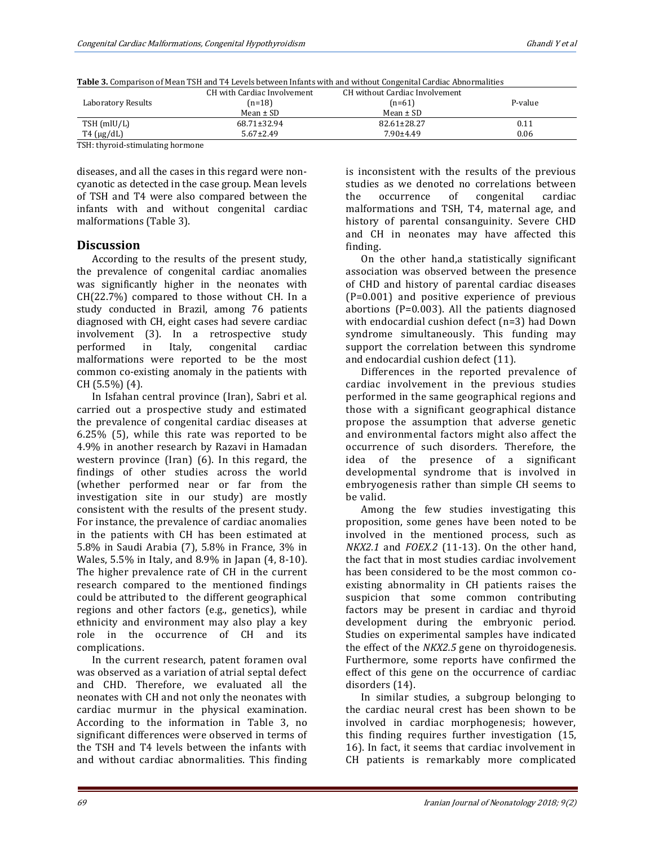| Table 3. Comparison of Mean TSH and T4 Levels between Infants with and without Congenital Cardiac Abnormalities |  |
|-----------------------------------------------------------------------------------------------------------------|--|
|                                                                                                                 |  |

|                                                                            | CH with Cardiac Involvement | CH without Cardiac Involvement |         |
|----------------------------------------------------------------------------|-----------------------------|--------------------------------|---------|
| Laboratory Results                                                         | $(n=18)$                    | $(n=61)$                       | P-value |
|                                                                            | Mean $\pm$ SD               | $Mean \pm SD$                  |         |
| $TSH$ (mlU/L)                                                              | 68.71±32.94                 | 82.61±28.27                    | 0.11    |
| $T4 \text{ (µg/dL)}$                                                       | $5.67 \pm 2.49$             | $7.90 \pm 4.49$                | 0.06    |
| $\mathbf{max}$ . $\mathbf{1}$ . $\mathbf{1}$ . $\mathbf{1}$ . $\mathbf{1}$ |                             |                                |         |

TSH: thyroid-stimulating hormone

diseases, and all the cases in this regard were noncyanotic as detected in the case group. Mean levels of TSH and T4 were also compared between the infants with and without congenital cardiac malformations (Table 3).

#### **Discussion**

According to the results of the present study, the prevalence of congenital cardiac anomalies was significantly higher in the neonates with CH(22.7%) compared to those without CH. In a study conducted in Brazil, among 76 patients diagnosed with CH, eight cases had severe cardiac involvement (3). In a retrospective study performed in Italy, congenital cardiac malformations were reported to be the most common co-existing anomaly in the patients with CH (5.5%) (4).

In Isfahan central province (Iran), Sabri et al. carried out a prospective study and estimated the prevalence of congenital cardiac diseases at 6.25% (5), while this rate was reported to be 4.9% in another research by Razavi in Hamadan western province (Iran) (6). In this regard, the findings of other studies across the world (whether performed near or far from the investigation site in our study) are mostly consistent with the results of the present study. For instance, the prevalence of cardiac anomalies in the patients with CH has been estimated at 5.8% in Saudi Arabia (7), 5.8% in France, 3% in Wales, 5.5% in Italy, and 8.9% in Japan (4, 8-10). The higher prevalence rate of CH in the current research compared to the mentioned findings could be attributed to the different geographical regions and other factors (e.g., genetics), while ethnicity and environment may also play a key role in the occurrence of CH and its complications.

In the current research, patent foramen oval was observed as a variation of atrial septal defect and CHD. Therefore, we evaluated all the neonates with CH and not only the neonates with cardiac murmur in the physical examination. According to the information in Table 3, no significant differences were observed in terms of the TSH and T4 levels between the infants with and without cardiac abnormalities. This finding is inconsistent with the results of the previous studies as we denoted no correlations between the occurrence of congenital cardiac malformations and TSH, T4, maternal age, and history of parental consanguinity. Severe CHD and CH in neonates may have affected this finding.

On the other hand,a statistically significant association was observed between the presence of CHD and history of parental cardiac diseases (P=0.001) and positive experience of previous abortions (P=0.003). All the patients diagnosed with endocardial cushion defect (n=3) had Down syndrome simultaneously. This funding may support the correlation between this syndrome and endocardial cushion defect (11).

Differences in the reported prevalence of cardiac involvement in the previous studies performed in the same geographical regions and those with a significant geographical distance propose the assumption that adverse genetic and environmental factors might also affect the occurrence of such disorders. Therefore, the idea of the presence of a significant developmental syndrome that is involved in embryogenesis rather than simple CH seems to be valid.

Among the few studies investigating this proposition, some genes have been noted to be involved in the mentioned process, such as *NKX2.1* and *FOEX.2* (11-13). On the other hand, the fact that in most studies cardiac involvement has been considered to be the most common coexisting abnormality in CH patients raises the suspicion that some common contributing factors may be present in cardiac and thyroid development during the embryonic period. Studies on experimental samples have indicated the effect of the *NKX2.5* gene on thyroidogenesis. Furthermore, some reports have confirmed the effect of this gene on the occurrence of cardiac disorders (14).

In similar studies, a subgroup belonging to the cardiac neural crest has been shown to be involved in cardiac morphogenesis; however, this finding requires further investigation (15, 16). In fact, it seems that cardiac involvement in CH patients is remarkably more complicated